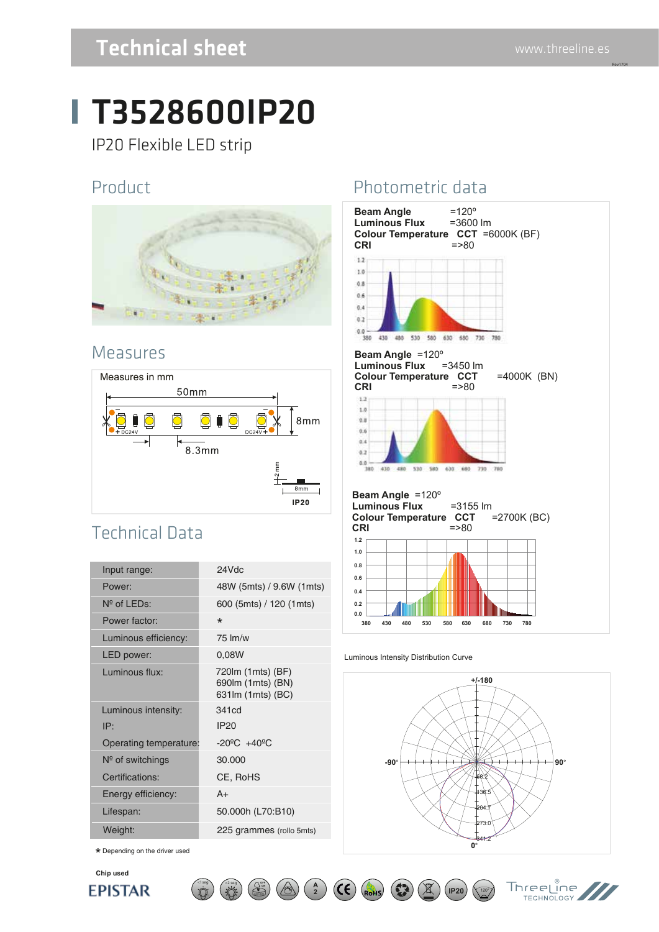Rev1704

## Technical sheet

## T3528600IP20

IP20 Flexible LED strip

#### Product



#### Measures



### Technical Data

| Input range:           | 24Vdc                                                        |
|------------------------|--------------------------------------------------------------|
| Power:                 | 48W (5mts) / 9.6W (1mts)                                     |
| $N^{\circ}$ of LEDs:   | 600 (5mts) / 120 (1mts)                                      |
| Power factor:          | $\star$                                                      |
| Luminous efficiency:   | $75 \,$ lm/w                                                 |
| LED power:             | 0,08W                                                        |
| Luminous flux:         | 720 m (1 mts) (BF)<br>690lm (1mts) (BN)<br>631lm (1mts) (BC) |
| Luminous intensity:    | 341cd                                                        |
| IP:                    | <b>IP20</b>                                                  |
| Operating temperature: | $-20^{\circ}$ C $+40^{\circ}$ C                              |
| $N°$ of switchings     | 30.000                                                       |
| Certifications:        | CE, RoHS                                                     |
| Energy efficiency:     | $A+$                                                         |
| Lifespan:              | 50.000h (L70:B10)                                            |
| Weight:                | 225 grammes (rollo 5mts)                                     |

 $\lt$ 1seg  $\lt$   $\lt$ 2 seg  $\lt$   $\lt$   $\lt$   $\lt$ 

 $\star$  Depending on the driver used

#### **Chip used EPISTAR**

#### Photometric data



#### Luminous Intensity Distribution Curve